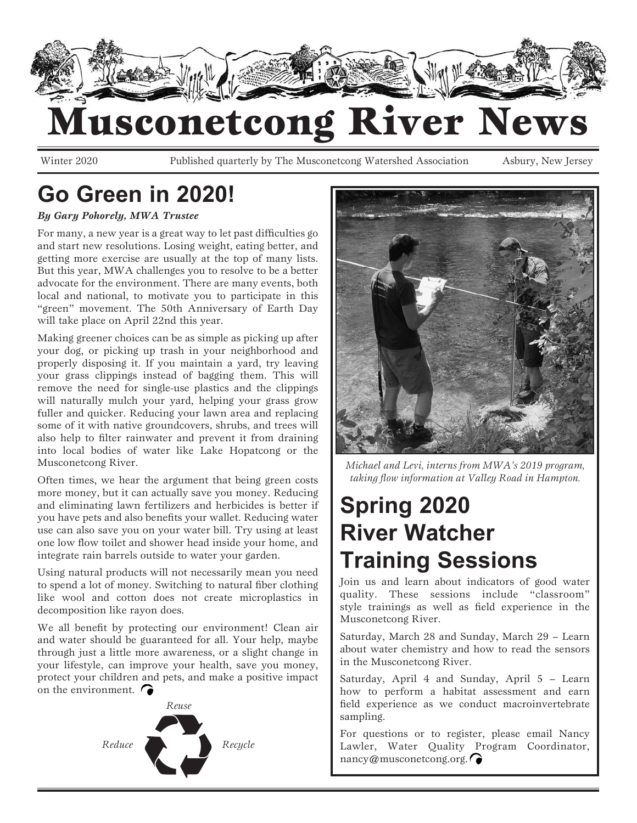

## Iusconetcong River News

Winter 2020 Published quarterly by The Musconetcong Watershed Association Asbury, New Jersey

## **Go Green in 2020!**

#### *By Gary Pohorely, MWA Trustee*

For many, a new year is a great way to let past difficulties go and start new resolutions. Losing weight, eating better, and getting more exercise are usually at the top of many lists. But this year, MWA challenges you to resolve to be a better advocate for the environment. There are many events, both local and national, to motivate you to participate in this "green" movement. The 50th Anniversary of Earth Day will take place on April 22nd this year.

Making greener choices can be as simple as picking up after your dog, or picking up trash in your neighborhood and properly disposing it. If you maintain a yard, try leaving your grass clippings instead of bagging them. This will remove the need for single-use plastics and the clippings will naturally mulch your yard, helping your grass grow fuller and quicker. Reducing your lawn area and replacing some of it with native groundcovers, shrubs, and trees will also help to filter rainwater and prevent it from draining into local bodies of water like Lake Hopatcong or the Musconetcong River.

Often times, we hear the argument that being green costs more money, but it can actually save you money. Reducing and eliminating lawn fertilizers and herbicides is better if you have pets and also benefits your wallet. Reducing water use can also save you on your water bill. Try using at least one low flow toilet and shower head inside your home, and integrate rain barrels outside to water your garden.

Using natural products will not necessarily mean you need to spend a lot of money. Switching to natural fiber clothing like wool and cotton does not create microplastics in decomposition like rayon does.

We all benefit by protecting our environment! Clean air and water should be guaranteed for all. Your help, maybe through just a little more awareness, or a slight change in your lifestyle, can improve your health, save you money, protect your children and pets, and make a positive impact on the environment.  $\bigcap$ 





*Michael and Levi, interns from MWA's 2019 program, taking flow information at Valley Road in Hampton.*

## **Spring 2020 River Watcher Training Sessions**

Join us and learn about indicators of good water quality. These sessions include "classroom" style trainings as well as field experience in the Musconetcong River.

Saturday, March 28 and Sunday, March 29 – Learn about water chemistry and how to read the sensors in the Musconetcong River.

Saturday, April 4 and Sunday, April 5 – Learn how to perform a habitat assessment and earn field experience as we conduct macroinvertebrate sampling.

For questions or to register, please email Nancy Lawler, Water Quality Program Coordinator, nancy@musconetcong.org. ∩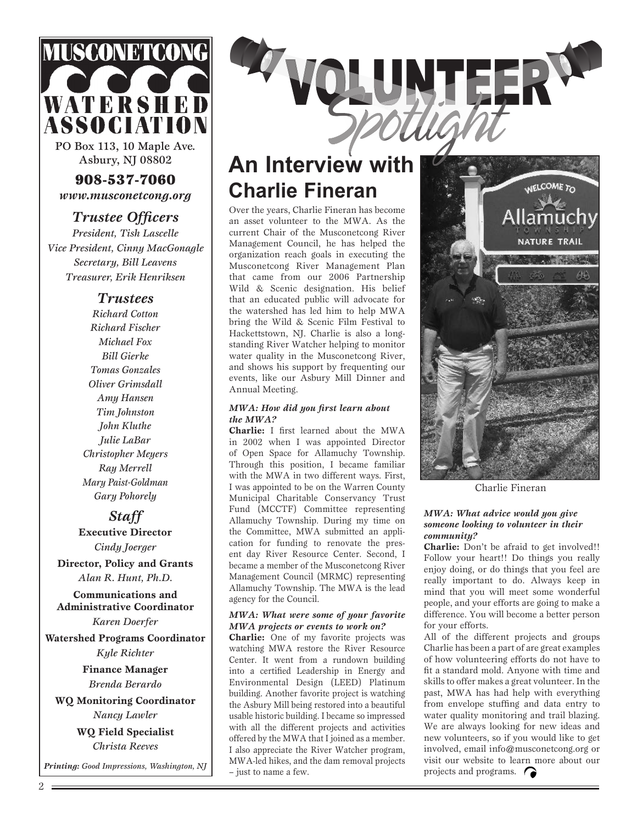

PO Box 113, 10 Maple Ave. Asbury, NJ 08802

908-537-7060 *www.musconetcong.org*

*Trustee Officers President, Tish Lascelle Vice President, Cinny MacGonagle Secretary, Bill Leavens Treasurer, Erik Henriksen*

#### *Trustees*

*Richard Cotton Richard Fischer Michael Fox Bill Gierke Tomas Gonzales Oliver Grimsdall Amy Hansen Tim Johnston John Kluthe Julie LaBar Christopher Meyers Ray Merrell Mary Paist-Goldman Gary Pohorely*

#### *Staff*

**Executive Director** *Cindy Joerger*

**Director, Policy and Grants** *Alan R. Hunt, Ph.D.*

**Communications and Administrative Coordinator**

*Karen Doerfer*

**Watershed Programs Coordinator** *Kyle Richter*

> **Finance Manager** *Brenda Berardo*

**WQ Monitoring Coordinator** *Nancy Lawler* **WQ Field Specialist**

*Christa Reeves*

*Printing: Good Impressions, Washington, NJ*



### **An Interview with Charlie Fineran**

Over the years, Charlie Fineran has become an asset volunteer to the MWA. As the current Chair of the Musconetcong River Management Council, he has helped the organization reach goals in executing the Musconetcong River Management Plan that came from our 2006 Partnership Wild & Scenic designation. His belief that an educated public will advocate for the watershed has led him to help MWA bring the Wild & Scenic Film Festival to Hackettstown, NJ. Charlie is also a longstanding River Watcher helping to monitor water quality in the Musconetcong River, and shows his support by frequenting our events, like our Asbury Mill Dinner and Annual Meeting.

#### *MWA: How did you first learn about the MWA?*

**Charlie:** I first learned about the MWA in 2002 when I was appointed Director of Open Space for Allamuchy Township. Through this position, I became familiar with the MWA in two different ways. First, I was appointed to be on the Warren County Municipal Charitable Conservancy Trust Fund (MCCTF) Committee representing Allamuchy Township. During my time on the Committee, MWA submitted an application for funding to renovate the present day River Resource Center. Second, I became a member of the Musconetcong River Management Council (MRMC) representing Allamuchy Township. The MWA is the lead agency for the Council.

#### *MWA: What were some of your favorite MWA projects or events to work on?*

**Charlie:** One of my favorite projects was watching MWA restore the River Resource Center. It went from a rundown building into a certified Leadership in Energy and Environmental Design (LEED) Platinum building. Another favorite project is watching the Asbury Mill being restored into a beautiful usable historic building. I became so impressed with all the different projects and activities offered by the MWA that I joined as a member. I also appreciate the River Watcher program, MWA-led hikes, and the dam removal projects – just to name a few.



Charlie Fineran

#### *MWA: What advice would you give someone looking to volunteer in their community?*

**Charlie:** Don't be afraid to get involved!! Follow your heart!! Do things you really enjoy doing, or do things that you feel are really important to do. Always keep in mind that you will meet some wonderful people, and your efforts are going to make a difference. You will become a better person for your efforts.

All of the different projects and groups Charlie has been a part of are great examples of how volunteering efforts do not have to fit a standard mold. Anyone with time and skills to offer makes a great volunteer. In the past, MWA has had help with everything from envelope stuffing and data entry to water quality monitoring and trail blazing. We are always looking for new ideas and new volunteers, so if you would like to get involved, email info@musconetcong.org or visit our website to learn more about our projects and programs.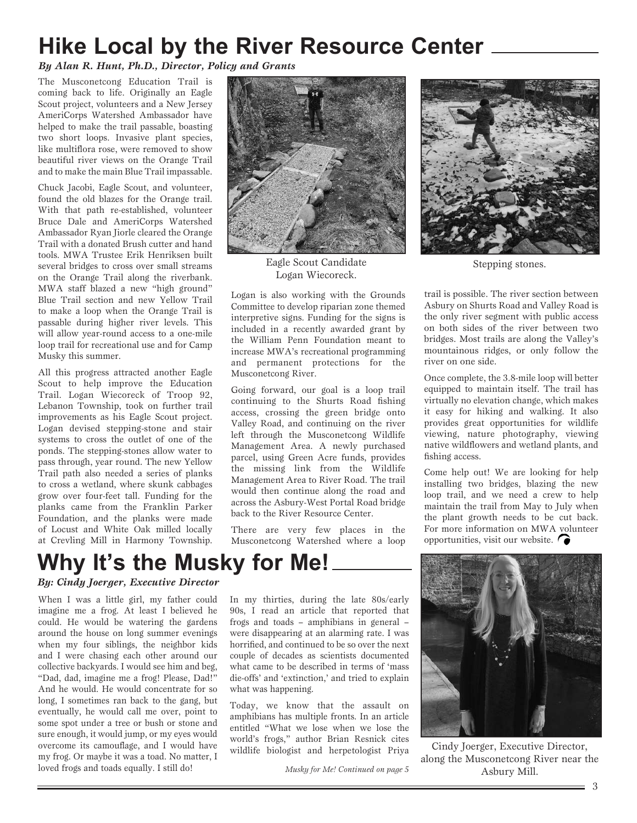## **Hike Local by the River Resource Center**

*By Alan R. Hunt, Ph.D., Director, Policy and Grants*

The Musconetcong Education Trail is coming back to life. Originally an Eagle Scout project, volunteers and a New Jersey AmeriCorps Watershed Ambassador have helped to make the trail passable, boasting two short loops. Invasive plant species, like multiflora rose, were removed to show beautiful river views on the Orange Trail and to make the main Blue Trail impassable.

Chuck Jacobi, Eagle Scout, and volunteer, found the old blazes for the Orange trail. With that path re-established, volunteer Bruce Dale and AmeriCorps Watershed Ambassador Ryan Jiorle cleared the Orange Trail with a donated Brush cutter and hand tools. MWA Trustee Erik Henriksen built several bridges to cross over small streams on the Orange Trail along the riverbank. MWA staff blazed a new "high ground" Blue Trail section and new Yellow Trail to make a loop when the Orange Trail is passable during higher river levels. This will allow year-round access to a one-mile loop trail for recreational use and for Camp Musky this summer.

All this progress attracted another Eagle Scout to help improve the Education Trail. Logan Wiecoreck of Troop 92, Lebanon Township, took on further trail improvements as his Eagle Scout project. Logan devised stepping-stone and stair systems to cross the outlet of one of the ponds. The stepping-stones allow water to pass through, year round. The new Yellow Trail path also needed a series of planks to cross a wetland, where skunk cabbages grow over four-feet tall. Funding for the planks came from the Franklin Parker Foundation, and the planks were made of Locust and White Oak milled locally at Crevling Mill in Harmony Township.



Eagle Scout Candidate Logan Wiecoreck.

Logan is also working with the Grounds Committee to develop riparian zone themed interpretive signs. Funding for the signs is included in a recently awarded grant by the William Penn Foundation meant to increase MWA's recreational programming and permanent protections for the Musconetcong River.

Going forward, our goal is a loop trail continuing to the Shurts Road fishing access, crossing the green bridge onto Valley Road, and continuing on the river left through the Musconetcong Wildlife Management Area. A newly purchased parcel, using Green Acre funds, provides the missing link from the Wildlife Management Area to River Road. The trail would then continue along the road and across the Asbury-West Portal Road bridge back to the River Resource Center.

There are very few places in the Musconetcong Watershed where a loop



Stepping stones.

trail is possible. The river section between Asbury on Shurts Road and Valley Road is the only river segment with public access on both sides of the river between two bridges. Most trails are along the Valley's mountainous ridges, or only follow the river on one side.

Once complete, the 3.8-mile loop will better equipped to maintain itself. The trail has virtually no elevation change, which makes it easy for hiking and walking. It also provides great opportunities for wildlife viewing, nature photography, viewing native wildflowers and wetland plants, and fishing access.

Come help out! We are looking for help installing two bridges, blazing the new loop trail, and we need a crew to help maintain the trail from May to July when the plant growth needs to be cut back. For more information on MWA volunteer opportunities, visit our website.  $\bigcap$ 

## **Why It's the Musky for Me!**

#### *By: Cindy Joerger, Executive Director*

When I was a little girl, my father could imagine me a frog. At least I believed he could. He would be watering the gardens around the house on long summer evenings when my four siblings, the neighbor kids and I were chasing each other around our collective backyards. I would see him and beg, "Dad, dad, imagine me a frog! Please, Dad!" And he would. He would concentrate for so long, I sometimes ran back to the gang, but eventually, he would call me over, point to some spot under a tree or bush or stone and sure enough, it would jump, or my eyes would overcome its camouflage, and I would have my frog. Or maybe it was a toad. No matter, I loved frogs and toads equally. I still do!

In my thirties, during the late 80s/early 90s, I read an article that reported that frogs and toads – amphibians in general – were disappearing at an alarming rate. I was horrified, and continued to be so over the next couple of decades as scientists documented what came to be described in terms of 'mass die-offs' and 'extinction,' and tried to explain what was happening.

Today, we know that the assault on amphibians has multiple fronts. In an article entitled "What we lose when we lose the world's frogs," author Brian Resnick cites world s riggs, addition Brian Resilick cries<br>wildlife biologist and herpetologist Priya Cindy Joerger, Executive Director,



along the Musconetcong River near the *Musky for Me! Continued on page 5* Asbury Mill.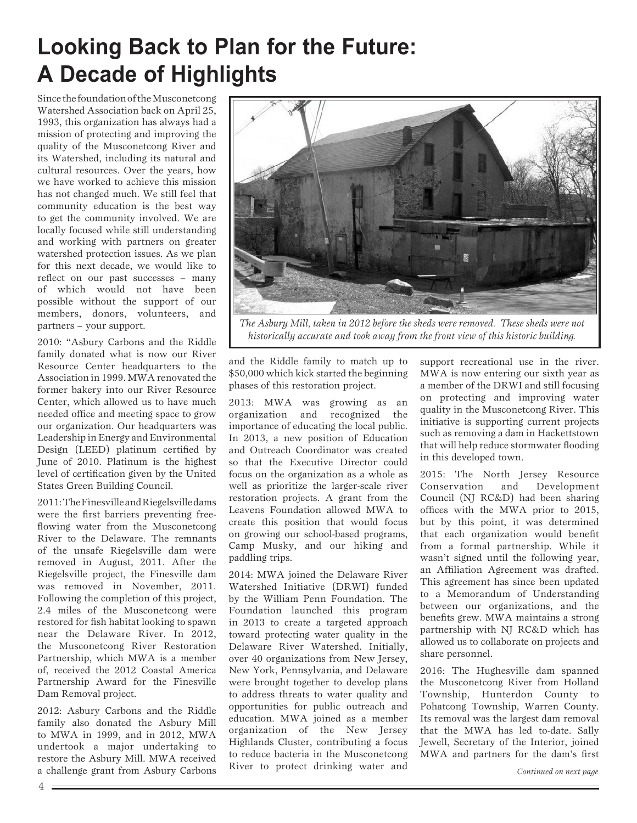## **Looking Back to Plan for the Future: A Decade of Highlights**

Since the foundation of the Musconetcong Watershed Association back on April 25, 1993, this organization has always had a mission of protecting and improving the quality of the Musconetcong River and its Watershed, including its natural and cultural resources. Over the years, how we have worked to achieve this mission has not changed much. We still feel that community education is the best way to get the community involved. We are locally focused while still understanding and working with partners on greater watershed protection issues. As we plan for this next decade, we would like to reflect on our past successes – many of which would not have been possible without the support of our members, donors, volunteers, and partners – your support.

2010: "Asbury Carbons and the Riddle family donated what is now our River Resource Center headquarters to the Association in 1999. MWA renovated the former bakery into our River Resource Center, which allowed us to have much needed office and meeting space to grow our organization. Our headquarters was Leadership in Energy and Environmental Design (LEED) platinum certified by June of 2010. Platinum is the highest level of certification given by the United States Green Building Council.

2011: The Finesville and Riegelsville dams were the first barriers preventing freeflowing water from the Musconetcong River to the Delaware. The remnants of the unsafe Riegelsville dam were removed in August, 2011. After the Riegelsville project, the Finesville dam was removed in November, 2011. Following the completion of this project, 2.4 miles of the Musconetcong were restored for fish habitat looking to spawn near the Delaware River. In 2012, the Musconetcong River Restoration Partnership, which MWA is a member of, received the 2012 Coastal America Partnership Award for the Finesville Dam Removal project.

2012: Asbury Carbons and the Riddle family also donated the Asbury Mill to MWA in 1999, and in 2012, MWA undertook a major undertaking to restore the Asbury Mill. MWA received a challenge grant from Asbury Carbons



*The Asbury Mill, taken in 2012 before the sheds were removed. These sheds were not historically accurate and took away from the front view of this historic building.*

and the Riddle family to match up to \$50,000 which kick started the beginning phases of this restoration project.

2013: MWA was growing as an organization and recognized the importance of educating the local public. In 2013, a new position of Education and Outreach Coordinator was created so that the Executive Director could focus on the organization as a whole as well as prioritize the larger-scale river restoration projects. A grant from the Leavens Foundation allowed MWA to create this position that would focus on growing our school-based programs, Camp Musky, and our hiking and paddling trips.

2014: MWA joined the Delaware River Watershed Initiative (DRWI) funded by the William Penn Foundation. The Foundation launched this program in 2013 to create a targeted approach toward protecting water quality in the Delaware River Watershed. Initially, over 40 organizations from New Jersey, New York, Pennsylvania, and Delaware were brought together to develop plans to address threats to water quality and opportunities for public outreach and education. MWA joined as a member organization of the New Jersey Highlands Cluster, contributing a focus to reduce bacteria in the Musconetcong River to protect drinking water and support recreational use in the river. MWA is now entering our sixth year as a member of the DRWI and still focusing on protecting and improving water quality in the Musconetcong River. This initiative is supporting current projects such as removing a dam in Hackettstown that will help reduce stormwater flooding in this developed town.

2015: The North Jersey Resource Conservation and Development Council (NJ RC&D) had been sharing offices with the MWA prior to 2015, but by this point, it was determined that each organization would benefit from a formal partnership. While it wasn't signed until the following year, an Affiliation Agreement was drafted. This agreement has since been updated to a Memorandum of Understanding between our organizations, and the benefits grew. MWA maintains a strong partnership with NJ RC&D which has allowed us to collaborate on projects and share personnel.

2016: The Hughesville dam spanned the Musconetcong River from Holland Township, Hunterdon County to Pohatcong Township, Warren County. Its removal was the largest dam removal that the MWA has led to-date. Sally Jewell, Secretary of the Interior, joined MWA and partners for the dam's first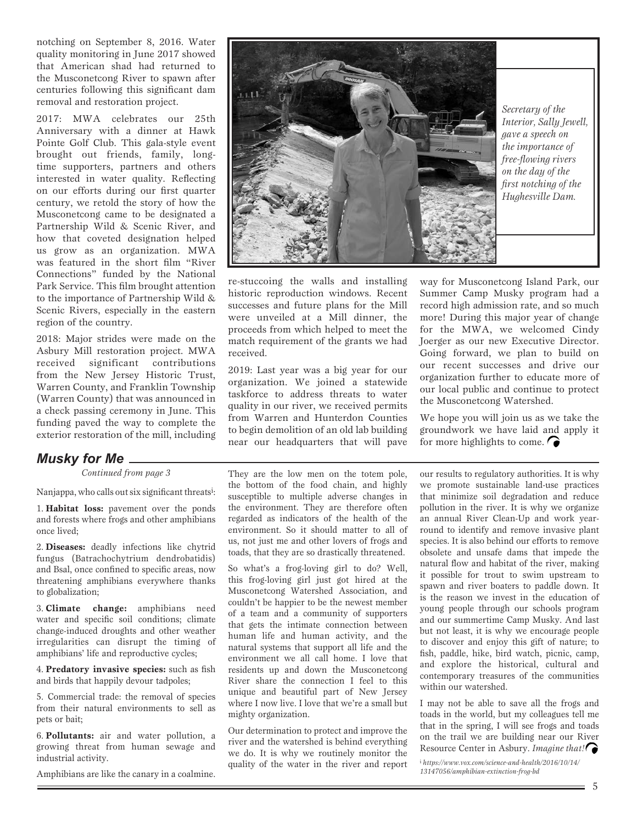notching on September 8, 2016. Water quality monitoring in June 2017 showed that American shad had returned to the Musconetcong River to spawn after centuries following this significant dam removal and restoration project.

2017: MWA celebrates our 25th Anniversary with a dinner at Hawk Pointe Golf Club. This gala-style event brought out friends, family, longtime supporters, partners and others interested in water quality. Reflecting on our efforts during our first quarter century, we retold the story of how the Musconetcong came to be designated a Partnership Wild & Scenic River, and how that coveted designation helped us grow as an organization. MWA was featured in the short film "River Connections" funded by the National Park Service. This film brought attention to the importance of Partnership Wild & Scenic Rivers, especially in the eastern region of the country.

2018: Major strides were made on the Asbury Mill restoration project. MWA received significant contributions from the New Jersey Historic Trust, Warren County, and Franklin Township (Warren County) that was announced in a check passing ceremony in June. This funding paved the way to complete the exterior restoration of the mill, including

#### *Musky for Me*

*Continued from page 3*

Nanjappa, who calls out six significant threats<sup>i</sup>:

1. **Habitat loss:** pavement over the ponds and forests where frogs and other amphibians once lived;

2. **Diseases:** deadly infections like chytrid fungus (Batrachochytrium dendrobatidis) and Bsal, once confined to specific areas, now threatening amphibians everywhere thanks to globalization;

3. **Climate change:** amphibians need water and specific soil conditions; climate change-induced droughts and other weather irregularities can disrupt the timing of amphibians' life and reproductive cycles;

4. **Predatory invasive species:** such as fish and birds that happily devour tadpoles;

5. Commercial trade: the removal of species from their natural environments to sell as pets or bait;

6. **Pollutants:** air and water pollution, a growing threat from human sewage and industrial activity.

Amphibians are like the canary in a coalmine.



re-stuccoing the walls and installing historic reproduction windows. Recent successes and future plans for the Mill were unveiled at a Mill dinner, the proceeds from which helped to meet the match requirement of the grants we had received.

2019: Last year was a big year for our organization. We joined a statewide taskforce to address threats to water quality in our river, we received permits from Warren and Hunterdon Counties to begin demolition of an old lab building near our headquarters that will pave

way for Musconetcong Island Park, our Summer Camp Musky program had a record high admission rate, and so much more! During this major year of change for the MWA, we welcomed Cindy Joerger as our new Executive Director. Going forward, we plan to build on our recent successes and drive our organization further to educate more of our local public and continue to protect the Musconetcong Watershed.

We hope you will join us as we take the groundwork we have laid and apply it for more highlights to come.  $\bigcap$ 

They are the low men on the totem pole, the bottom of the food chain, and highly susceptible to multiple adverse changes in the environment. They are therefore often regarded as indicators of the health of the environment. So it should matter to all of us, not just me and other lovers of frogs and toads, that they are so drastically threatened.

So what's a frog-loving girl to do? Well, this frog-loving girl just got hired at the Musconetcong Watershed Association, and couldn't be happier to be the newest member of a team and a community of supporters that gets the intimate connection between human life and human activity, and the natural systems that support all life and the environment we all call home. I love that residents up and down the Musconetcong River share the connection I feel to this unique and beautiful part of New Jersey where I now live. I love that we're a small but mighty organization.

Our determination to protect and improve the river and the watershed is behind everything we do. It is why we routinely monitor the quality of the water in the river and report

our results to regulatory authorities. It is why we promote sustainable land-use practices that minimize soil degradation and reduce pollution in the river. It is why we organize an annual River Clean-Up and work yearround to identify and remove invasive plant species. It is also behind our efforts to remove obsolete and unsafe dams that impede the natural flow and habitat of the river, making it possible for trout to swim upstream to spawn and river boaters to paddle down. It is the reason we invest in the education of young people through our schools program and our summertime Camp Musky. And last but not least, it is why we encourage people to discover and enjoy this gift of nature; to fish, paddle, hike, bird watch, picnic, camp, and explore the historical, cultural and contemporary treasures of the communities within our watershed.

I may not be able to save all the frogs and toads in the world, but my colleagues tell me that in the spring, I will see frogs and toads on the trail we are building near our River Resource Center in Asbury. *Imagine that!*

i  *https://www.vox.com/science-and-health/2016/10/14/ 13147056/amphibian-extinction-frog-bd*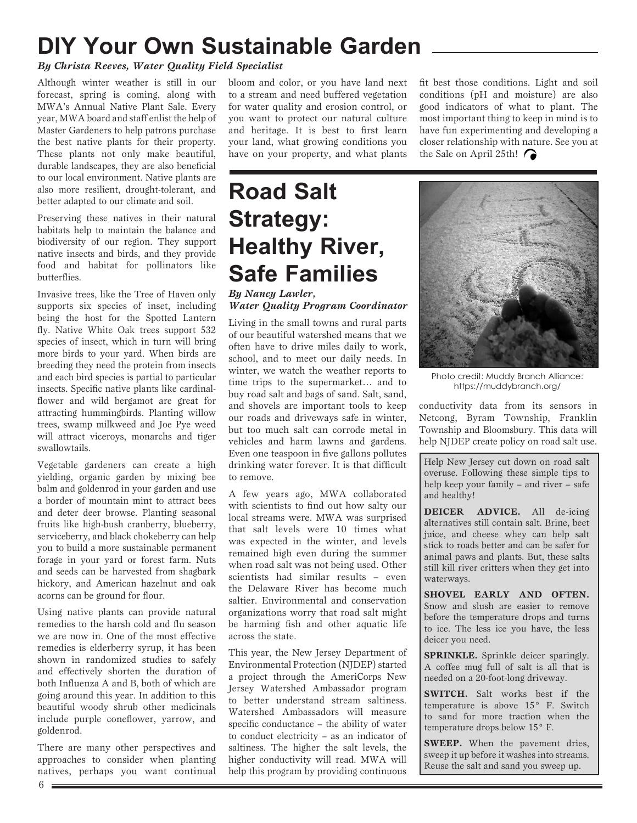## **DIY Your Own Sustainable Garden**

#### *By Christa Reeves, Water Quality Field Specialist*

Although winter weather is still in our forecast, spring is coming, along with MWA's Annual Native Plant Sale. Every year, MWA board and staff enlist the help of Master Gardeners to help patrons purchase the best native plants for their property. These plants not only make beautiful, durable landscapes, they are also beneficial to our local environment. Native plants are also more resilient, drought-tolerant, and better adapted to our climate and soil.

Preserving these natives in their natural habitats help to maintain the balance and biodiversity of our region. They support native insects and birds, and they provide food and habitat for pollinators like butterflies.

Invasive trees, like the Tree of Haven only supports six species of inset, including being the host for the Spotted Lantern fly. Native White Oak trees support 532 species of insect, which in turn will bring more birds to your yard. When birds are breeding they need the protein from insects and each bird species is partial to particular insects. Specific native plants like cardinalflower and wild bergamot are great for attracting hummingbirds. Planting willow trees, swamp milkweed and Joe Pye weed will attract viceroys, monarchs and tiger swallowtails.

Vegetable gardeners can create a high yielding, organic garden by mixing bee balm and goldenrod in your garden and use a border of mountain mint to attract bees and deter deer browse. Planting seasonal fruits like high-bush cranberry, blueberry, serviceberry, and black chokeberry can help you to build a more sustainable permanent forage in your yard or forest farm. Nuts and seeds can be harvested from shagbark hickory, and American hazelnut and oak acorns can be ground for flour.

Using native plants can provide natural remedies to the harsh cold and flu season we are now in. One of the most effective remedies is elderberry syrup, it has been shown in randomized studies to safely and effectively shorten the duration of both Influenza A and B, both of which are going around this year. In addition to this beautiful woody shrub other medicinals include purple coneflower, yarrow, and goldenrod.

There are many other perspectives and approaches to consider when planting natives, perhaps you want continual

bloom and color, or you have land next to a stream and need buffered vegetation for water quality and erosion control, or you want to protect our natural culture and heritage. It is best to first learn your land, what growing conditions you have on your property, and what plants

## **Road Salt Strategy: Healthy River, Safe Families**

#### *By Nancy Lawler, Water Quality Program Coordinator*

Living in the small towns and rural parts of our beautiful watershed means that we often have to drive miles daily to work, school, and to meet our daily needs. In winter, we watch the weather reports to time trips to the supermarket… and to buy road salt and bags of sand. Salt, sand, and shovels are important tools to keep our roads and driveways safe in winter, but too much salt can corrode metal in vehicles and harm lawns and gardens. Even one teaspoon in five gallons pollutes drinking water forever. It is that difficult to remove.

A few years ago, MWA collaborated with scientists to find out how salty our local streams were. MWA was surprised that salt levels were 10 times what was expected in the winter, and levels remained high even during the summer when road salt was not being used. Other scientists had similar results – even the Delaware River has become much saltier. Environmental and conservation organizations worry that road salt might be harming fish and other aquatic life across the state.

This year, the New Jersey Department of Environmental Protection (NJDEP) started a project through the AmeriCorps New Jersey Watershed Ambassador program to better understand stream saltiness. Watershed Ambassadors will measure specific conductance – the ability of water to conduct electricity – as an indicator of saltiness. The higher the salt levels, the higher conductivity will read. MWA will help this program by providing continuous

fit best those conditions. Light and soil conditions (pH and moisture) are also good indicators of what to plant. The most important thing to keep in mind is to have fun experimenting and developing a closer relationship with nature. See you at the Sale on April 25th!



Photo credit: Muddy Branch Alliance: https://muddybranch.org/

conductivity data from its sensors in Netcong, Byram Township, Franklin Township and Bloomsbury. This data will help NJDEP create policy on road salt use.

Help New Jersey cut down on road salt overuse. Following these simple tips to help keep your family – and river – safe and healthy!

**DEICER ADVICE.** All de-icing alternatives still contain salt. Brine, beet juice, and cheese whey can help salt stick to roads better and can be safer for animal paws and plants. But, these salts still kill river critters when they get into waterways.

**SHOVEL EARLY AND OFTEN.** Snow and slush are easier to remove before the temperature drops and turns to ice. The less ice you have, the less deicer you need.

**SPRINKLE.** Sprinkle deicer sparingly. A coffee mug full of salt is all that is needed on a 20-foot-long driveway.

**SWITCH.** Salt works best if the temperature is above 15° F. Switch to sand for more traction when the temperature drops below 15° F.

**SWEEP.** When the pavement dries, sweep it up before it washes into streams. Reuse the salt and sand you sweep up.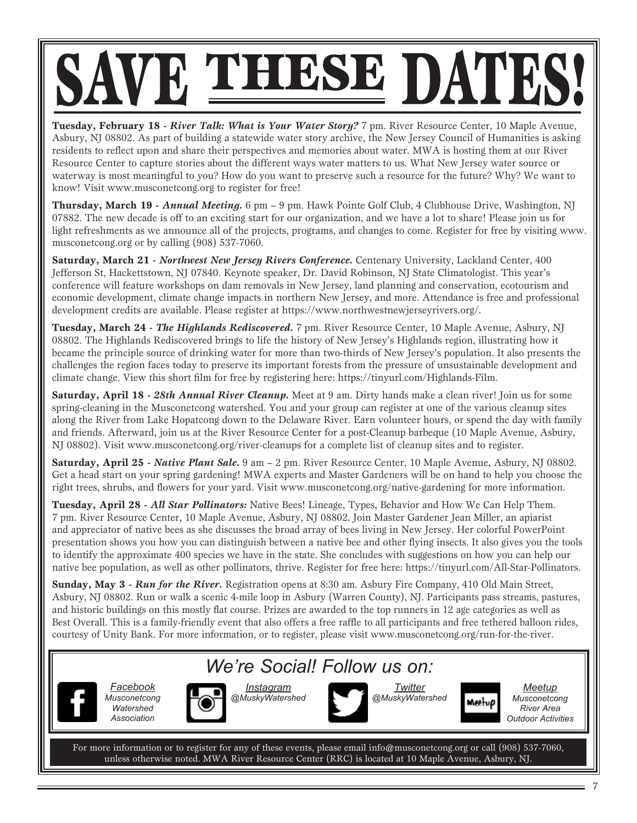# SAVE THESE DATES!

**Tuesday, February 18 -** *River Talk: What is Your Water Story?* 7 pm. River Resource Center, 10 Maple Avenue, Asbury, NJ 08802. As part of building a statewide water story archive, the New Jersey Council of Humanities is asking residents to reflect upon and share their perspectives and memories about water. MWA is hosting them at our River Resource Center to capture stories about the different ways water matters to us. What New Jersey water source or waterway is most meaningful to you? How do you want to preserve such a resource for the future? Why? We want to know! Visit www.musconetcong.org to register for free!

**Thursday, March 19 -** *Annual Meeting.* 6 pm – 9 pm. Hawk Pointe Golf Club, 4 Clubhouse Drive, Washington, NJ 07882. The new decade is off to an exciting start for our organization, and we have a lot to share! Please join us for light refreshments as we announce all of the projects, programs, and changes to come. Register for free by visiting www. musconetcong.org or by calling (908) 537-7060.

**Saturday, March 21 -** *Northwest New Jersey Rivers Conference.* Centenary University, Lackland Center, 400 Jefferson St, Hackettstown, NJ 07840. Keynote speaker, Dr. David Robinson, NJ State Climatologist. This year's conference will feature workshops on dam removals in New Jersey, land planning and conservation, ecotourism and economic development, climate change impacts in northern New Jersey, and more. Attendance is free and professional development credits are available. Please register at https://www.northwestnewjerseyrivers.org/.

**Tuesday, March 24 -** *The Highlands Rediscovered.* 7 pm. River Resource Center, 10 Maple Avenue, Asbury, NJ 08802. The Highlands Rediscovered brings to life the history of New Jersey's Highlands region, illustrating how it became the principle source of drinking water for more than two-thirds of New Jersey's population. It also presents the challenges the region faces today to preserve its important forests from the pressure of unsustainable development and climate change. View this short film for free by registering here: https://tinyurl.com/Highlands-Film.

**Saturday, April 18 -** *28th Annual River Cleanup.* Meet at 9 am. Dirty hands make a clean river! Join us for some spring-cleaning in the Musconetcong watershed. You and your group can register at one of the various cleanup sites along the River from Lake Hopatcong down to the Delaware River. Earn volunteer hours, or spend the day with family and friends. Afterward, join us at the River Resource Center for a post-Cleanup barbeque (10 Maple Avenue, Asbury, NJ 08802). Visit www.musconetcong.org/river-cleanups for a complete list of cleanup sites and to register.

**Saturday, April 25 -** *Native Plant Sale.* 9 am – 2 pm. River Resource Center, 10 Maple Avenue, Asbury, NJ 08802. Get a head start on your spring gardening! MWA experts and Master Gardeners will be on hand to help you choose the right trees, shrubs, and flowers for your yard. Visit www.musconetcong.org/native-gardening for more information.

**Tuesday, April 28 -** *All Star Pollinators:* Native Bees! Lineage, Types, Behavior and How We Can Help Them. 7 pm. River Resource Center, 10 Maple Avenue, Asbury, NJ 08802. Join Master Gardener Jean Miller, an apiarist and appreciator of native bees as she discusses the broad array of bees living in New Jersey. Her colorful PowerPoint presentation shows you how you can distinguish between a native bee and other flying insects. It also gives you the tools to identify the approximate 400 species we have in the state. She concludes with suggestions on how you can help our native bee population, as well as other pollinators, thrive. Register for free here: https://tinyurl.com/All-Star-Pollinators.

**Sunday, May 3 -** *Run for the River.* Registration opens at 8:30 am. Asbury Fire Company, 410 Old Main Street, Asbury, NJ 08802. Run or walk a scenic 4-mile loop in Asbury (Warren County), NJ. Participants pass streams, pastures, and historic buildings on this mostly flat course. Prizes are awarded to the top runners in 12 age categories as well as Best Overall. This is a family-friendly event that also offers a free raffle to all participants and free tethered balloon rides, courtesy of Unity Bank. For more information, or to register, please visit www.musconetcong.org/run-for-the-river.